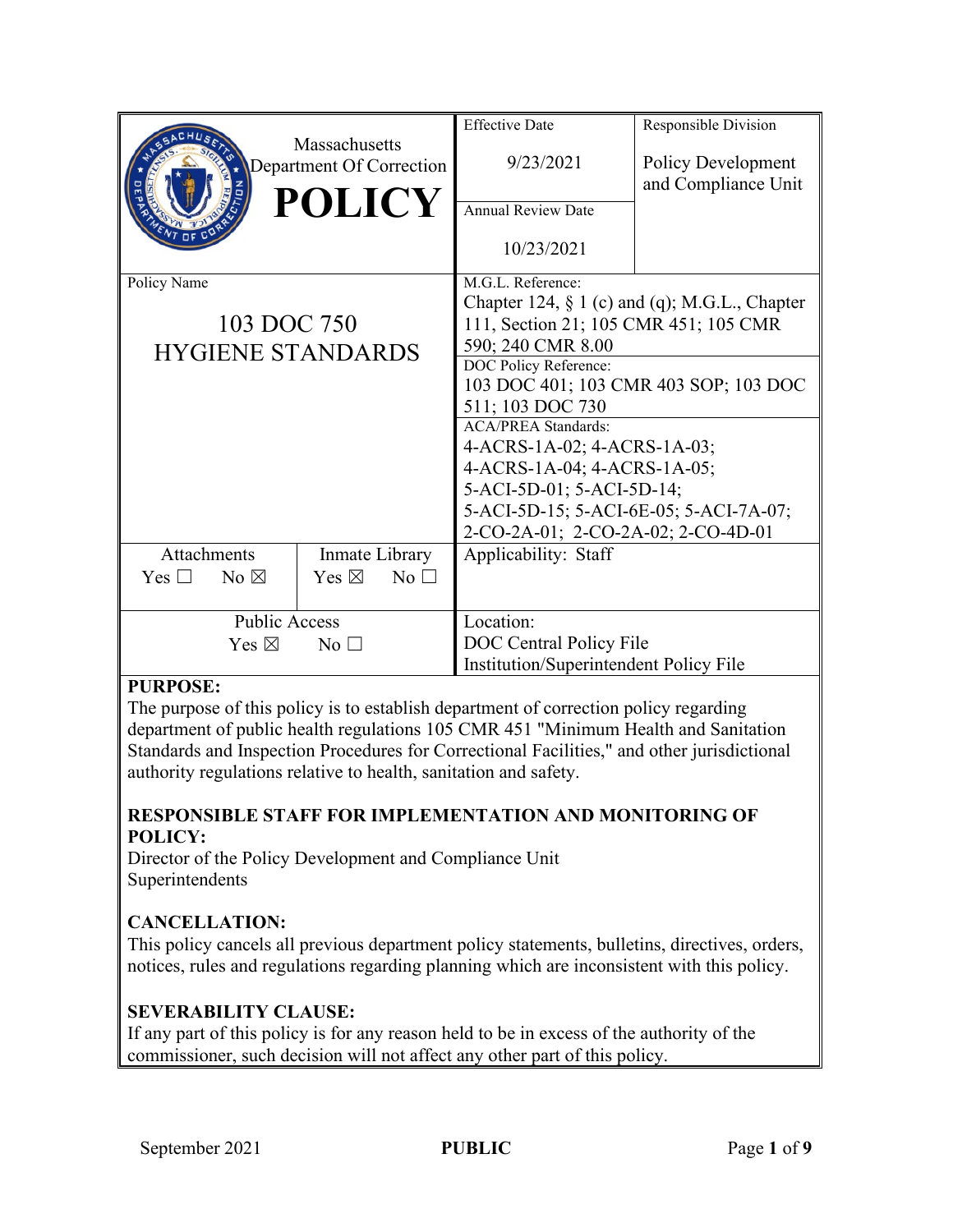|                                                        |                |                                           | <b>Effective Date</b>                                      | Responsible Division                      |
|--------------------------------------------------------|----------------|-------------------------------------------|------------------------------------------------------------|-------------------------------------------|
|                                                        |                | Massachusetts<br>Department Of Correction | 9/23/2021                                                  | Policy Development<br>and Compliance Unit |
|                                                        |                | <b>POLICY</b>                             | <b>Annual Review Date</b>                                  |                                           |
|                                                        |                |                                           | 10/23/2021                                                 |                                           |
| Policy Name<br>103 DOC 750<br><b>HYGIENE STANDARDS</b> |                |                                           | M.G.L. Reference:                                          |                                           |
|                                                        |                |                                           | Chapter 124, $\S$ 1 (c) and (q); M.G.L., Chapter           |                                           |
|                                                        |                |                                           | 111, Section 21; 105 CMR 451; 105 CMR<br>590; 240 CMR 8.00 |                                           |
|                                                        |                |                                           | DOC Policy Reference:                                      |                                           |
|                                                        |                |                                           | 103 DOC 401; 103 CMR 403 SOP; 103 DOC                      |                                           |
|                                                        |                |                                           | 511; 103 DOC 730                                           |                                           |
|                                                        |                |                                           | <b>ACA/PREA Standards:</b>                                 |                                           |
|                                                        |                |                                           | 4-ACRS-1A-02; 4-ACRS-1A-03;                                |                                           |
|                                                        |                |                                           | 4-ACRS-1A-04; 4-ACRS-1A-05;                                |                                           |
|                                                        |                |                                           | 5-ACI-5D-01; 5-ACI-5D-14;                                  |                                           |
|                                                        |                |                                           | 5-ACI-5D-15; 5-ACI-6E-05; 5-ACI-7A-07;                     |                                           |
|                                                        |                |                                           | 2-CO-2A-01; 2-CO-2A-02; 2-CO-4D-01                         |                                           |
| Attachments                                            |                | Inmate Library                            | Applicability: Staff                                       |                                           |
| Yes $\Box$                                             | $No \boxtimes$ | Yes $\boxtimes$<br>No                     |                                                            |                                           |
|                                                        |                |                                           |                                                            |                                           |
| <b>Public Access</b>                                   |                |                                           | Location:                                                  |                                           |
| Yes $\boxtimes$<br>$\overline{N_{0}}$ $\Box$           |                |                                           | DOC Central Policy File                                    |                                           |
|                                                        |                |                                           | Institution/Superintendent Policy File                     |                                           |

## **PURPOSE:**

The purpose of this policy is to establish department of correction policy regarding department of public health regulations 105 CMR 451 "Minimum Health and Sanitation Standards and Inspection Procedures for Correctional Facilities," and other jurisdictional authority regulations relative to health, sanitation and safety.

## **RESPONSIBLE STAFF FOR IMPLEMENTATION AND MONITORING OF POLICY:**

Director of the Policy Development and Compliance Unit Superintendents

# **CANCELLATION:**

This policy cancels all previous department policy statements, bulletins, directives, orders, notices, rules and regulations regarding planning which are inconsistent with this policy.

## **SEVERABILITY CLAUSE:**

If any part of this policy is for any reason held to be in excess of the authority of the commissioner, such decision will not affect any other part of this policy.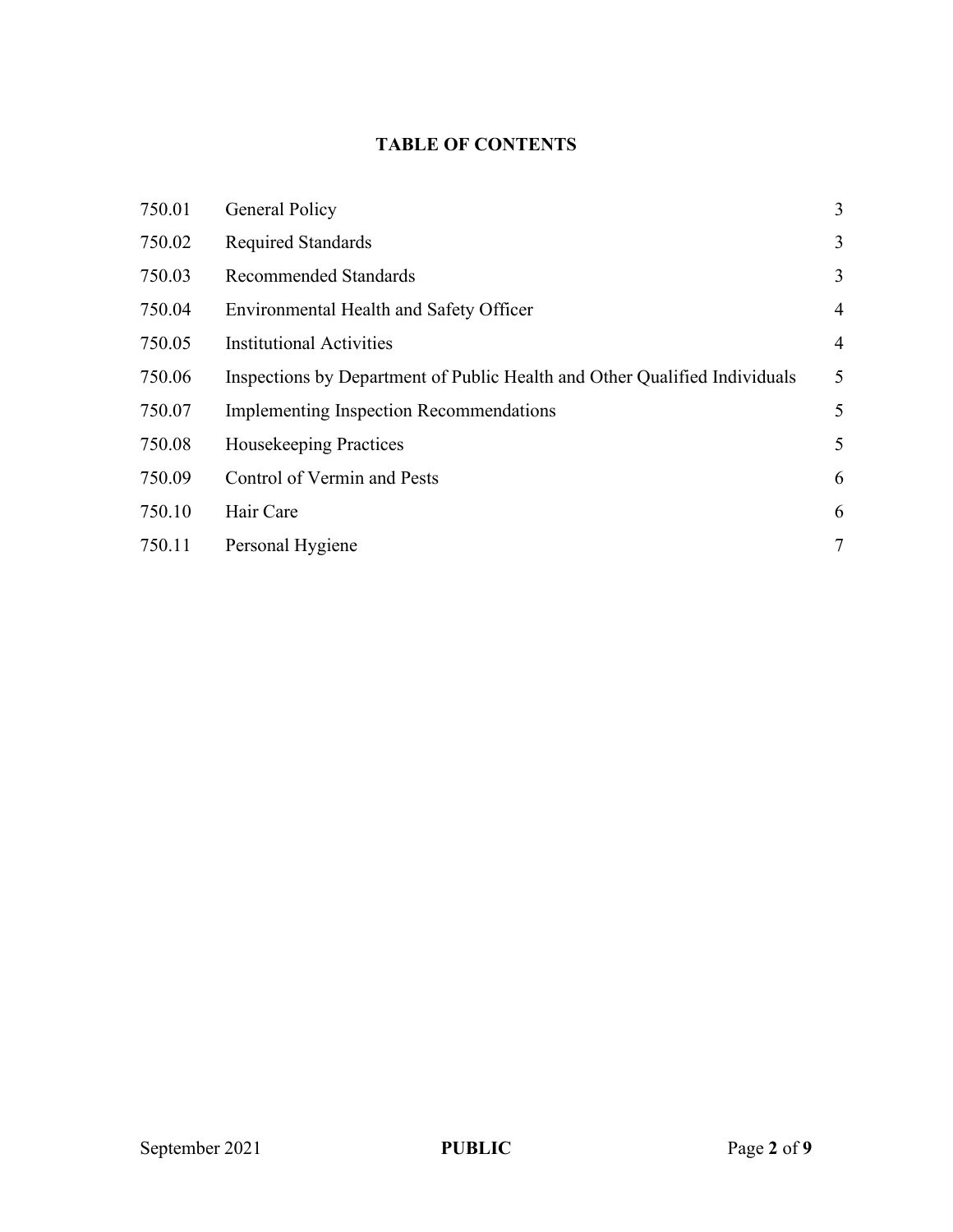# **TABLE OF CONTENTS**

| 750.01 | General Policy                                                             | 3              |
|--------|----------------------------------------------------------------------------|----------------|
| 750.02 | <b>Required Standards</b>                                                  | 3              |
| 750.03 | <b>Recommended Standards</b>                                               | 3              |
| 750.04 | Environmental Health and Safety Officer                                    | $\overline{4}$ |
| 750.05 | <b>Institutional Activities</b>                                            | $\overline{4}$ |
| 750.06 | Inspections by Department of Public Health and Other Qualified Individuals | 5              |
| 750.07 | <b>Implementing Inspection Recommendations</b>                             | 5              |
| 750.08 | <b>Housekeeping Practices</b>                                              | 5              |
| 750.09 | Control of Vermin and Pests                                                | 6              |
| 750.10 | Hair Care                                                                  | 6              |
| 750.11 | Personal Hygiene                                                           | 7              |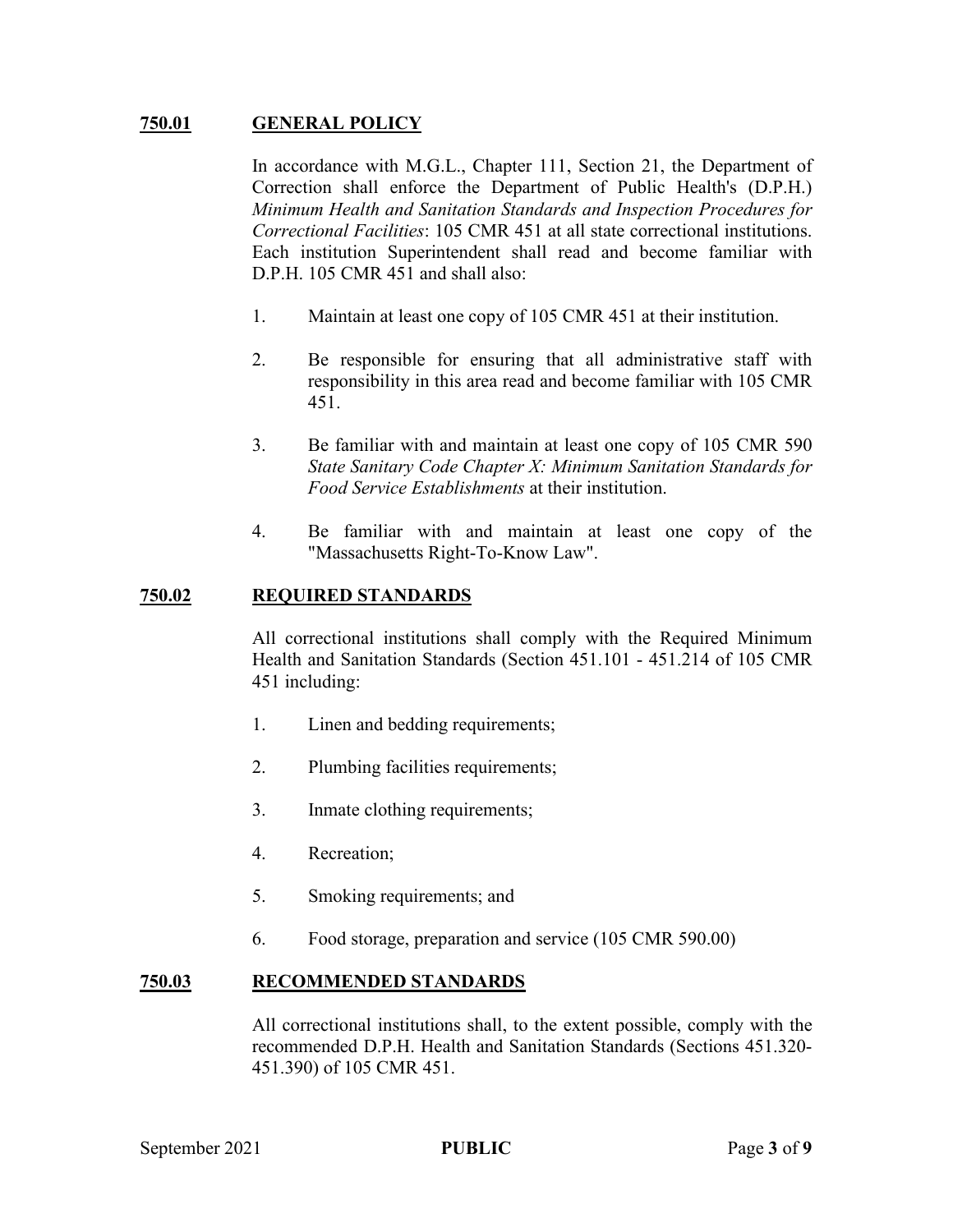## **750.01 GENERAL POLICY**

In accordance with M.G.L., Chapter 111, Section 21, the Department of Correction shall enforce the Department of Public Health's (D.P.H.) *Minimum Health and Sanitation Standards and Inspection Procedures for Correctional Facilities*: 105 CMR 451 at all state correctional institutions. Each institution Superintendent shall read and become familiar with D.P.H. 105 CMR 451 and shall also:

- 1. Maintain at least one copy of 105 CMR 451 at their institution.
- 2. Be responsible for ensuring that all administrative staff with responsibility in this area read and become familiar with 105 CMR 451.
- 3. Be familiar with and maintain at least one copy of 105 CMR 590 *State Sanitary Code Chapter X: Minimum Sanitation Standards for Food Service Establishments* at their institution.
- 4. Be familiar with and maintain at least one copy of the "Massachusetts Right-To-Know Law".

#### **750.02 REQUIRED STANDARDS**

All correctional institutions shall comply with the Required Minimum Health and Sanitation Standards (Section 451.101 - 451.214 of 105 CMR 451 including:

- 1. Linen and bedding requirements;
- 2. Plumbing facilities requirements;
- 3. Inmate clothing requirements;
- 4. Recreation;
- 5. Smoking requirements; and
- 6. Food storage, preparation and service (105 CMR 590.00)

#### **750.03 RECOMMENDED STANDARDS**

All correctional institutions shall, to the extent possible, comply with the recommended D.P.H. Health and Sanitation Standards (Sections 451.320- 451.390) of 105 CMR 451.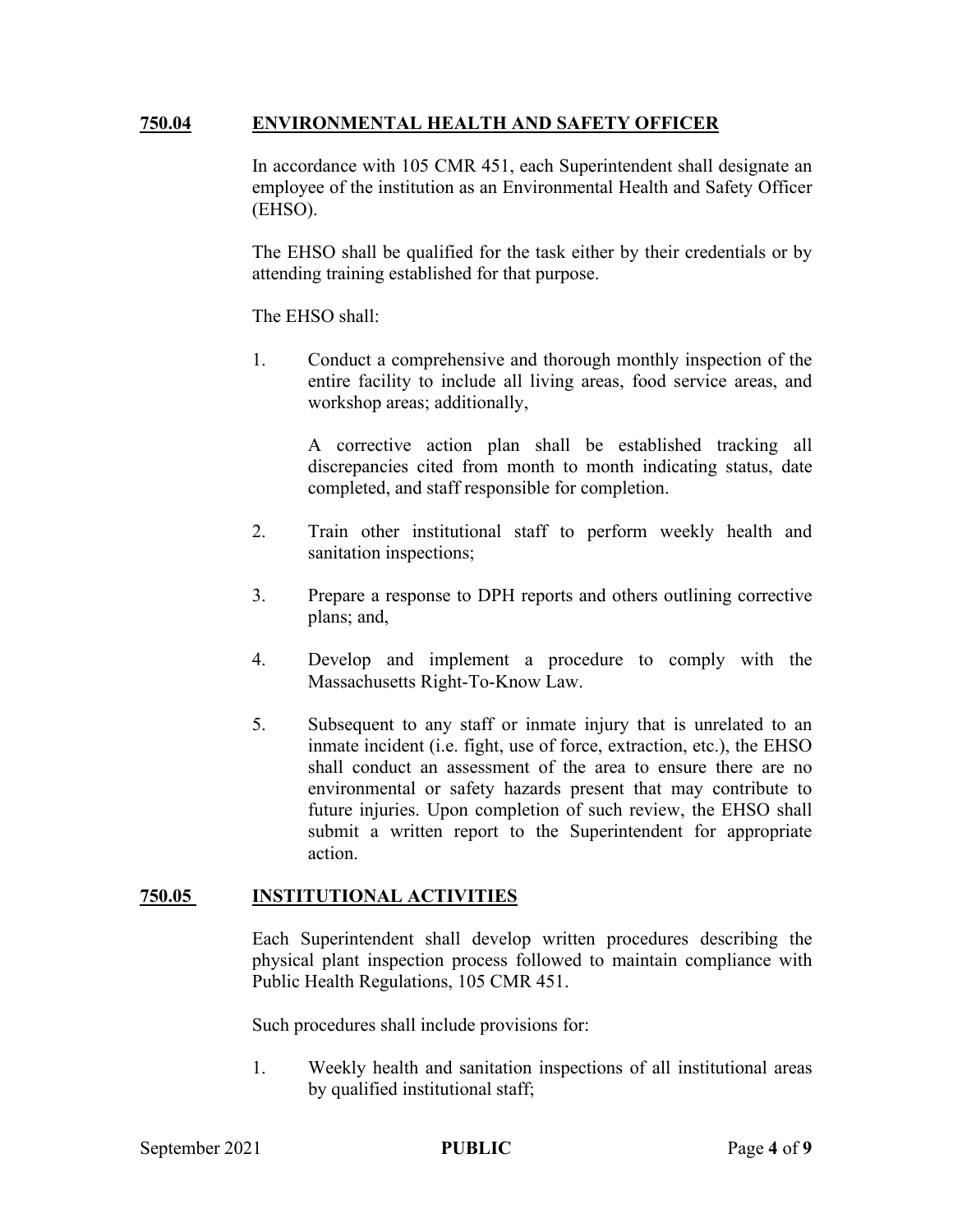#### **750.04 ENVIRONMENTAL HEALTH AND SAFETY OFFICER**

In accordance with 105 CMR 451, each Superintendent shall designate an employee of the institution as an Environmental Health and Safety Officer (EHSO).

The EHSO shall be qualified for the task either by their credentials or by attending training established for that purpose.

The EHSO shall:

1. Conduct a comprehensive and thorough monthly inspection of the entire facility to include all living areas, food service areas, and workshop areas; additionally,

> A corrective action plan shall be established tracking all discrepancies cited from month to month indicating status, date completed, and staff responsible for completion.

- 2. Train other institutional staff to perform weekly health and sanitation inspections;
- 3. Prepare a response to DPH reports and others outlining corrective plans; and,
- 4. Develop and implement a procedure to comply with the Massachusetts Right-To-Know Law.
- 5. Subsequent to any staff or inmate injury that is unrelated to an inmate incident (i.e. fight, use of force, extraction, etc.), the EHSO shall conduct an assessment of the area to ensure there are no environmental or safety hazards present that may contribute to future injuries. Upon completion of such review, the EHSO shall submit a written report to the Superintendent for appropriate action.

#### **750.05 INSTITUTIONAL ACTIVITIES**

Each Superintendent shall develop written procedures describing the physical plant inspection process followed to maintain compliance with Public Health Regulations, 105 CMR 451.

Such procedures shall include provisions for:

1. Weekly health and sanitation inspections of all institutional areas by qualified institutional staff;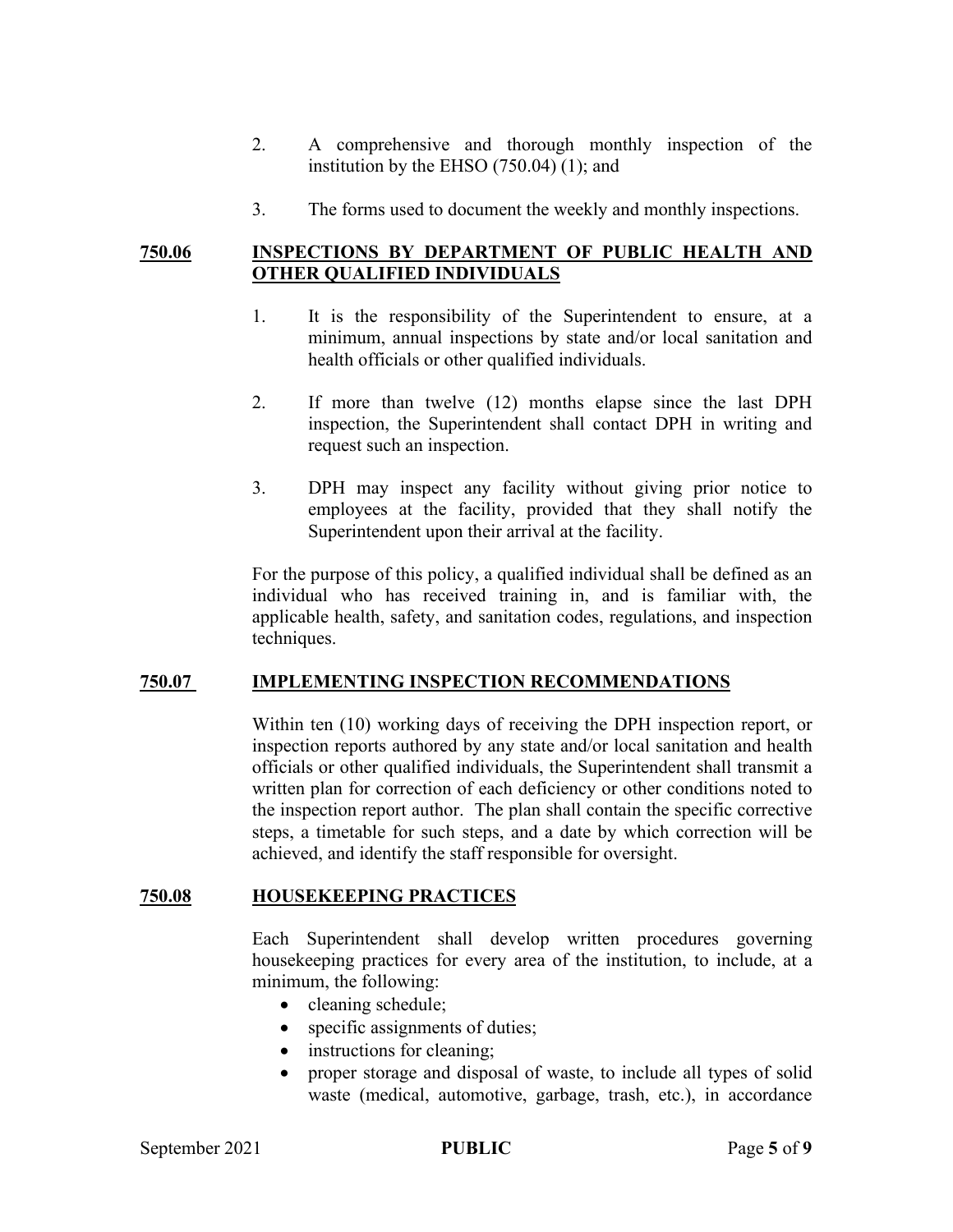- 2. A comprehensive and thorough monthly inspection of the institution by the EHSO (750.04) (1); and
- 3. The forms used to document the weekly and monthly inspections.

## **750.06 INSPECTIONS BY DEPARTMENT OF PUBLIC HEALTH AND OTHER QUALIFIED INDIVIDUALS**

- 1. It is the responsibility of the Superintendent to ensure, at a minimum, annual inspections by state and/or local sanitation and health officials or other qualified individuals.
- 2. If more than twelve (12) months elapse since the last DPH inspection, the Superintendent shall contact DPH in writing and request such an inspection.
- 3. DPH may inspect any facility without giving prior notice to employees at the facility, provided that they shall notify the Superintendent upon their arrival at the facility.

For the purpose of this policy, a qualified individual shall be defined as an individual who has received training in, and is familiar with, the applicable health, safety, and sanitation codes, regulations, and inspection techniques.

## **750.07 IMPLEMENTING INSPECTION RECOMMENDATIONS**

Within ten (10) working days of receiving the DPH inspection report, or inspection reports authored by any state and/or local sanitation and health officials or other qualified individuals, the Superintendent shall transmit a written plan for correction of each deficiency or other conditions noted to the inspection report author. The plan shall contain the specific corrective steps, a timetable for such steps, and a date by which correction will be achieved, and identify the staff responsible for oversight.

#### **750.08 HOUSEKEEPING PRACTICES**

Each Superintendent shall develop written procedures governing housekeeping practices for every area of the institution, to include, at a minimum, the following:

- cleaning schedule;
- specific assignments of duties;
- instructions for cleaning;
- proper storage and disposal of waste, to include all types of solid waste (medical, automotive, garbage, trash, etc.), in accordance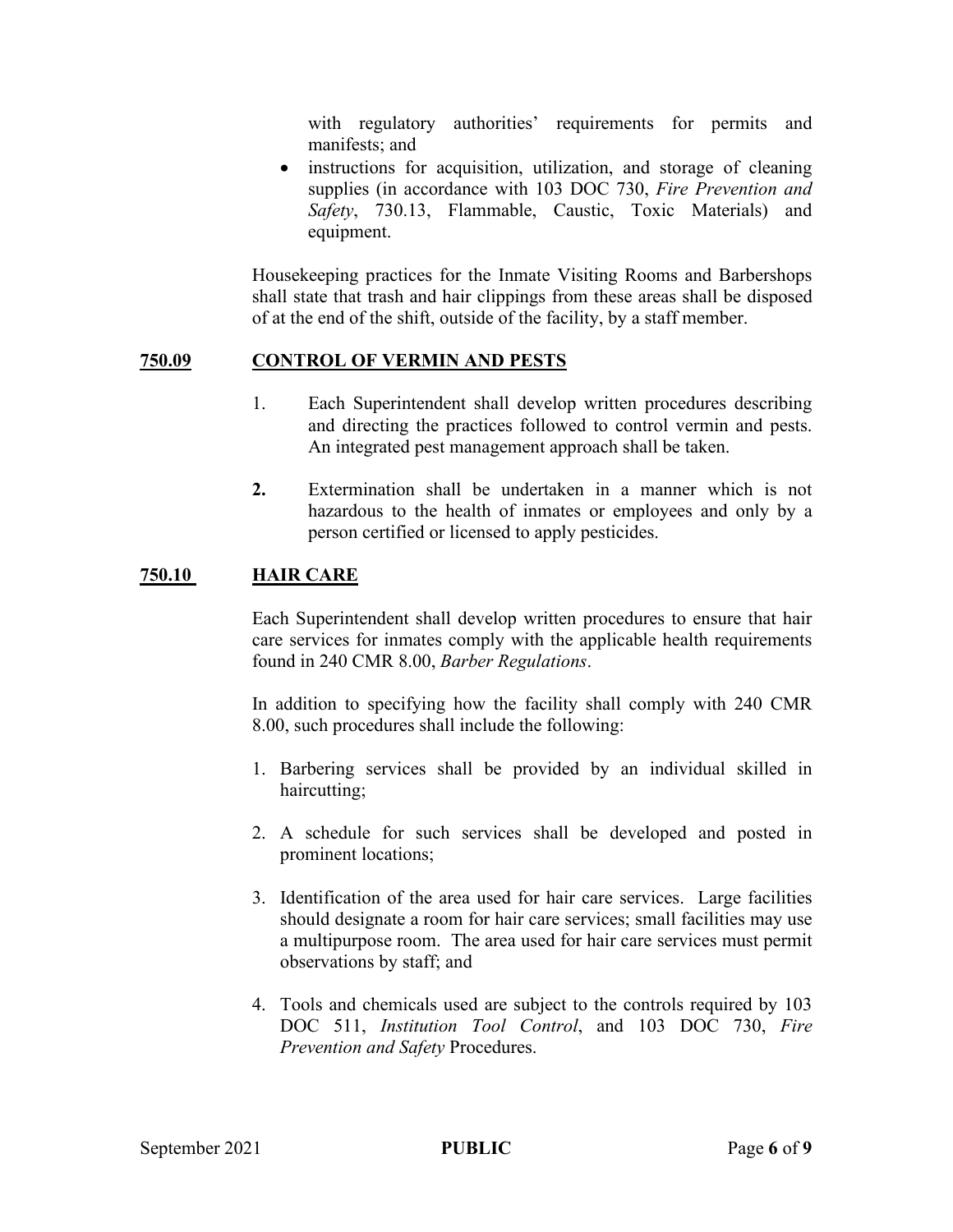with regulatory authorities' requirements for permits and manifests; and

• instructions for acquisition, utilization, and storage of cleaning supplies (in accordance with 103 DOC 730, *Fire Prevention and Safety*, 730.13, Flammable, Caustic, Toxic Materials) and equipment.

Housekeeping practices for the Inmate Visiting Rooms and Barbershops shall state that trash and hair clippings from these areas shall be disposed of at the end of the shift, outside of the facility, by a staff member.

## **750.09 CONTROL OF VERMIN AND PESTS**

- 1. Each Superintendent shall develop written procedures describing and directing the practices followed to control vermin and pests. An integrated pest management approach shall be taken.
- **2.** Extermination shall be undertaken in a manner which is not hazardous to the health of inmates or employees and only by a person certified or licensed to apply pesticides.

## **750.10 HAIR CARE**

Each Superintendent shall develop written procedures to ensure that hair care services for inmates comply with the applicable health requirements found in 240 CMR 8.00, *Barber Regulations*.

In addition to specifying how the facility shall comply with 240 CMR 8.00, such procedures shall include the following:

- 1. Barbering services shall be provided by an individual skilled in haircutting;
- 2. A schedule for such services shall be developed and posted in prominent locations;
- 3. Identification of the area used for hair care services. Large facilities should designate a room for hair care services; small facilities may use a multipurpose room. The area used for hair care services must permit observations by staff; and
- 4. Tools and chemicals used are subject to the controls required by 103 DOC 511, *Institution Tool Control*, and 103 DOC 730, *Fire Prevention and Safety* Procedures.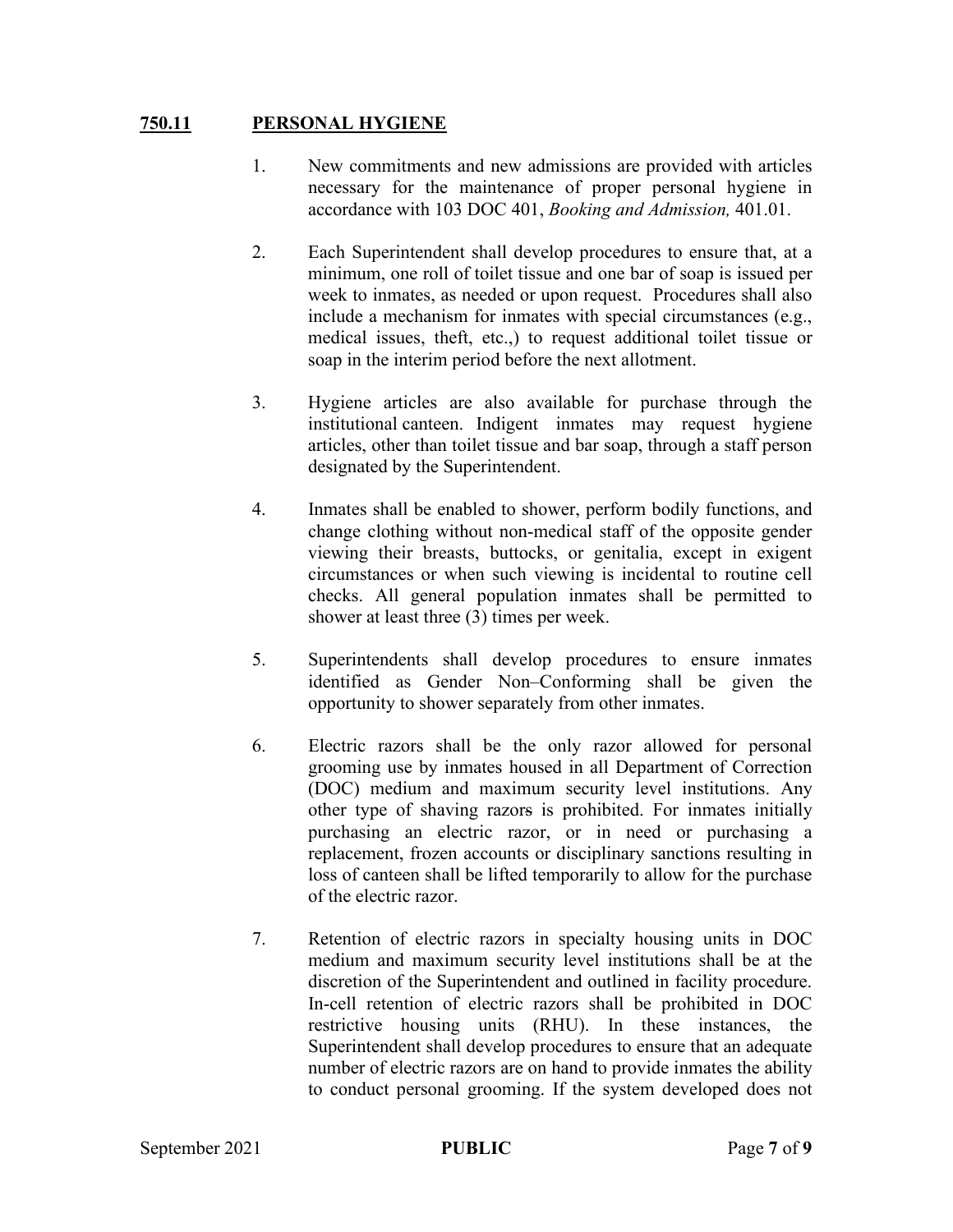## **750.11 PERSONAL HYGIENE**

- 1. New commitments and new admissions are provided with articles necessary for the maintenance of proper personal hygiene in accordance with 103 DOC 401, *Booking and Admission,* 401.01.
- 2. Each Superintendent shall develop procedures to ensure that, at a minimum, one roll of toilet tissue and one bar of soap is issued per week to inmates, as needed or upon request. Procedures shall also include a mechanism for inmates with special circumstances (e.g., medical issues, theft, etc.,) to request additional toilet tissue or soap in the interim period before the next allotment.
- 3. Hygiene articles are also available for purchase through the institutional canteen. Indigent inmates may request hygiene articles, other than toilet tissue and bar soap, through a staff person designated by the Superintendent.
- 4. Inmates shall be enabled to shower, perform bodily functions, and change clothing without non-medical staff of the opposite gender viewing their breasts, buttocks, or genitalia, except in exigent circumstances or when such viewing is incidental to routine cell checks. All general population inmates shall be permitted to shower at least three (3) times per week.
- 5. Superintendents shall develop procedures to ensure inmates identified as Gender Non–Conforming shall be given the opportunity to shower separately from other inmates.
- 6. Electric razors shall be the only razor allowed for personal grooming use by inmates housed in all Department of Correction (DOC) medium and maximum security level institutions. Any other type of shaving razors is prohibited. For inmates initially purchasing an electric razor, or in need or purchasing a replacement, frozen accounts or disciplinary sanctions resulting in loss of canteen shall be lifted temporarily to allow for the purchase of the electric razor.
- 7. Retention of electric razors in specialty housing units in DOC medium and maximum security level institutions shall be at the discretion of the Superintendent and outlined in facility procedure. In-cell retention of electric razors shall be prohibited in DOC restrictive housing units (RHU). In these instances, the Superintendent shall develop procedures to ensure that an adequate number of electric razors are on hand to provide inmates the ability to conduct personal grooming. If the system developed does not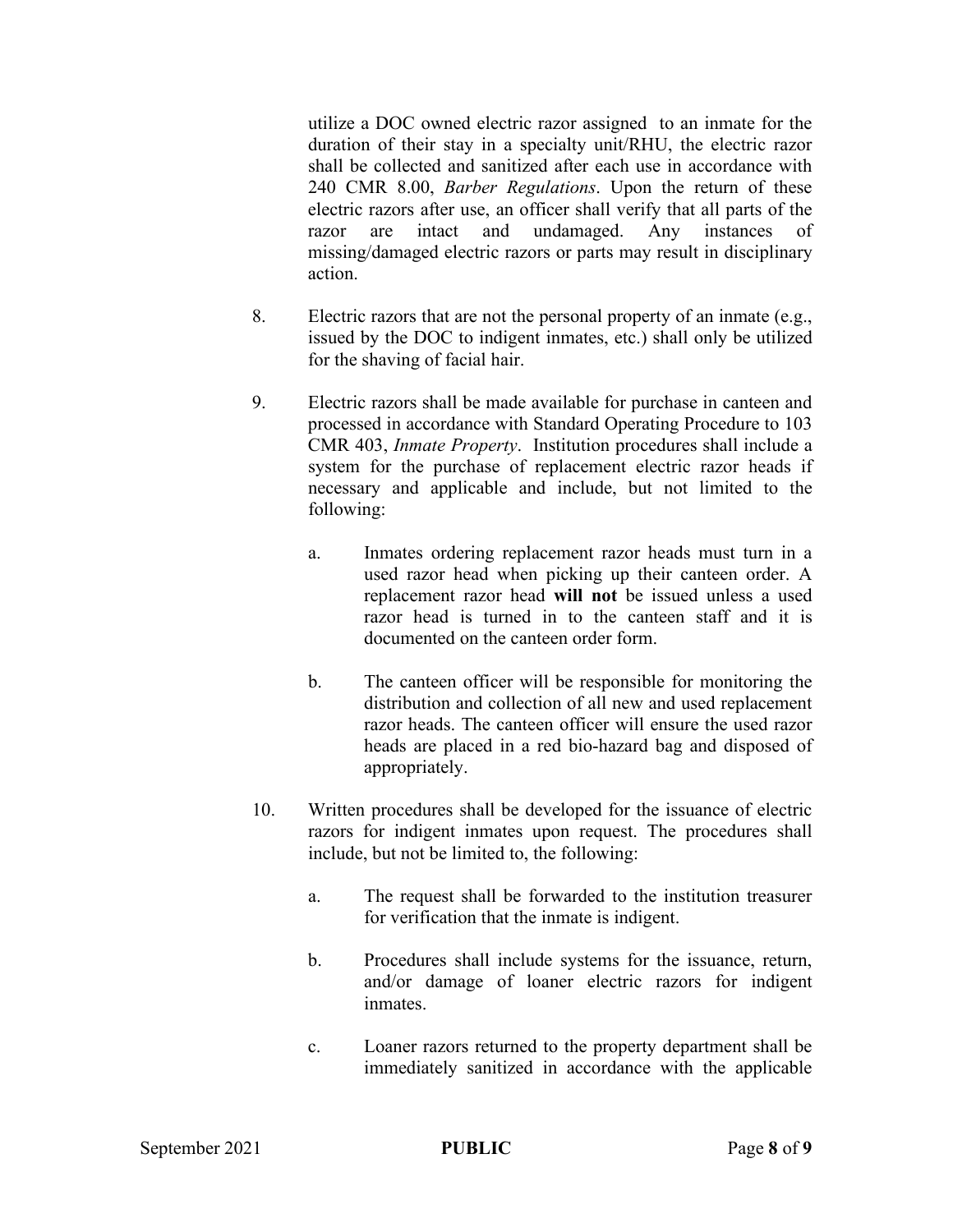utilize a DOC owned electric razor assigned to an inmate for the duration of their stay in a specialty unit/RHU, the electric razor shall be collected and sanitized after each use in accordance with 240 CMR 8.00, *Barber Regulations*. Upon the return of these electric razors after use, an officer shall verify that all parts of the razor are intact and undamaged. Any instances of missing/damaged electric razors or parts may result in disciplinary action.

- 8. Electric razors that are not the personal property of an inmate (e.g., issued by the DOC to indigent inmates, etc.) shall only be utilized for the shaving of facial hair.
- 9. Electric razors shall be made available for purchase in canteen and processed in accordance with Standard Operating Procedure to 103 CMR 403, *Inmate Property*. Institution procedures shall include a system for the purchase of replacement electric razor heads if necessary and applicable and include, but not limited to the following:
	- a. Inmates ordering replacement razor heads must turn in a used razor head when picking up their canteen order. A replacement razor head **will not** be issued unless a used razor head is turned in to the canteen staff and it is documented on the canteen order form.
	- b. The canteen officer will be responsible for monitoring the distribution and collection of all new and used replacement razor heads. The canteen officer will ensure the used razor heads are placed in a red bio-hazard bag and disposed of appropriately.
- 10. Written procedures shall be developed for the issuance of electric razors for indigent inmates upon request. The procedures shall include, but not be limited to, the following:
	- a. The request shall be forwarded to the institution treasurer for verification that the inmate is indigent.
	- b. Procedures shall include systems for the issuance, return, and/or damage of loaner electric razors for indigent inmates.
	- c. Loaner razors returned to the property department shall be immediately sanitized in accordance with the applicable